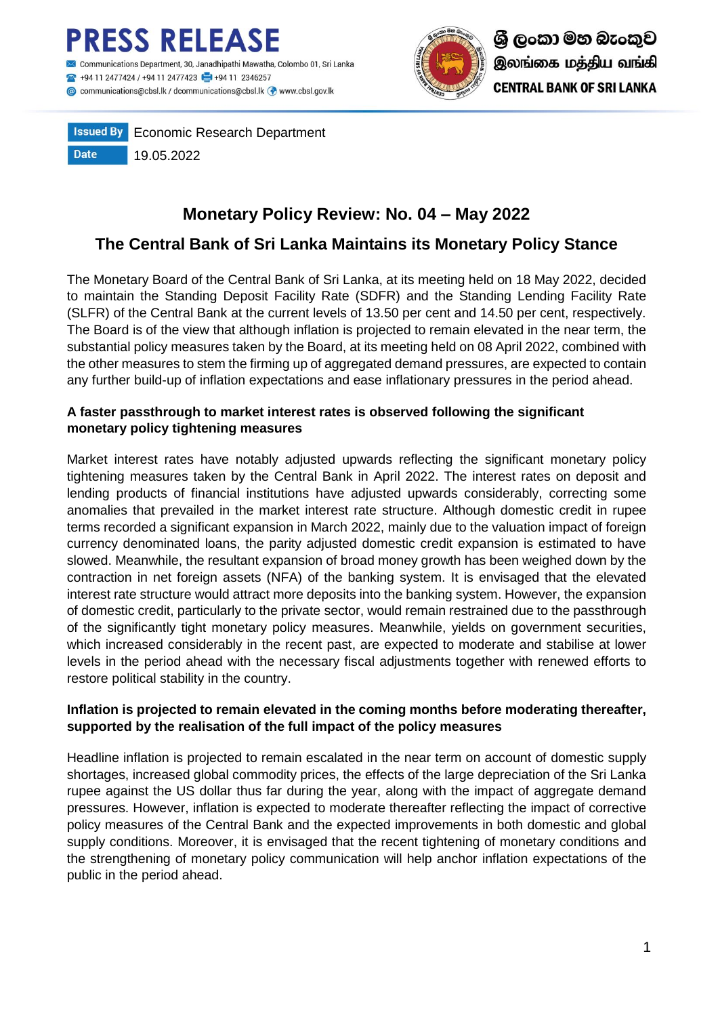



**Issued By** Economic Research Department **Date** 19.05.2022

# **Monetary Policy Review: No. 04 – May 2022**

# **The Central Bank of Sri Lanka Maintains its Monetary Policy Stance**

The Monetary Board of the Central Bank of Sri Lanka, at its meeting held on 18 May 2022, decided to maintain the Standing Deposit Facility Rate (SDFR) and the Standing Lending Facility Rate (SLFR) of the Central Bank at the current levels of 13.50 per cent and 14.50 per cent, respectively. The Board is of the view that although inflation is projected to remain elevated in the near term, the substantial policy measures taken by the Board, at its meeting held on 08 April 2022, combined with the other measures to stem the firming up of aggregated demand pressures, are expected to contain any further build-up of inflation expectations and ease inflationary pressures in the period ahead.

# **A faster passthrough to market interest rates is observed following the significant monetary policy tightening measures**

Market interest rates have notably adjusted upwards reflecting the significant monetary policy tightening measures taken by the Central Bank in April 2022. The interest rates on deposit and lending products of financial institutions have adjusted upwards considerably, correcting some anomalies that prevailed in the market interest rate structure. Although domestic credit in rupee terms recorded a significant expansion in March 2022, mainly due to the valuation impact of foreign currency denominated loans, the parity adjusted domestic credit expansion is estimated to have slowed. Meanwhile, the resultant expansion of broad money growth has been weighed down by the contraction in net foreign assets (NFA) of the banking system. It is envisaged that the elevated interest rate structure would attract more deposits into the banking system. However, the expansion of domestic credit, particularly to the private sector, would remain restrained due to the passthrough of the significantly tight monetary policy measures. Meanwhile, yields on government securities, which increased considerably in the recent past, are expected to moderate and stabilise at lower levels in the period ahead with the necessary fiscal adjustments together with renewed efforts to restore political stability in the country.

# **Inflation is projected to remain elevated in the coming months before moderating thereafter, supported by the realisation of the full impact of the policy measures**

Headline inflation is projected to remain escalated in the near term on account of domestic supply shortages, increased global commodity prices, the effects of the large depreciation of the Sri Lanka rupee against the US dollar thus far during the year, along with the impact of aggregate demand pressures. However, inflation is expected to moderate thereafter reflecting the impact of corrective policy measures of the Central Bank and the expected improvements in both domestic and global supply conditions. Moreover, it is envisaged that the recent tightening of monetary conditions and the strengthening of monetary policy communication will help anchor inflation expectations of the public in the period ahead.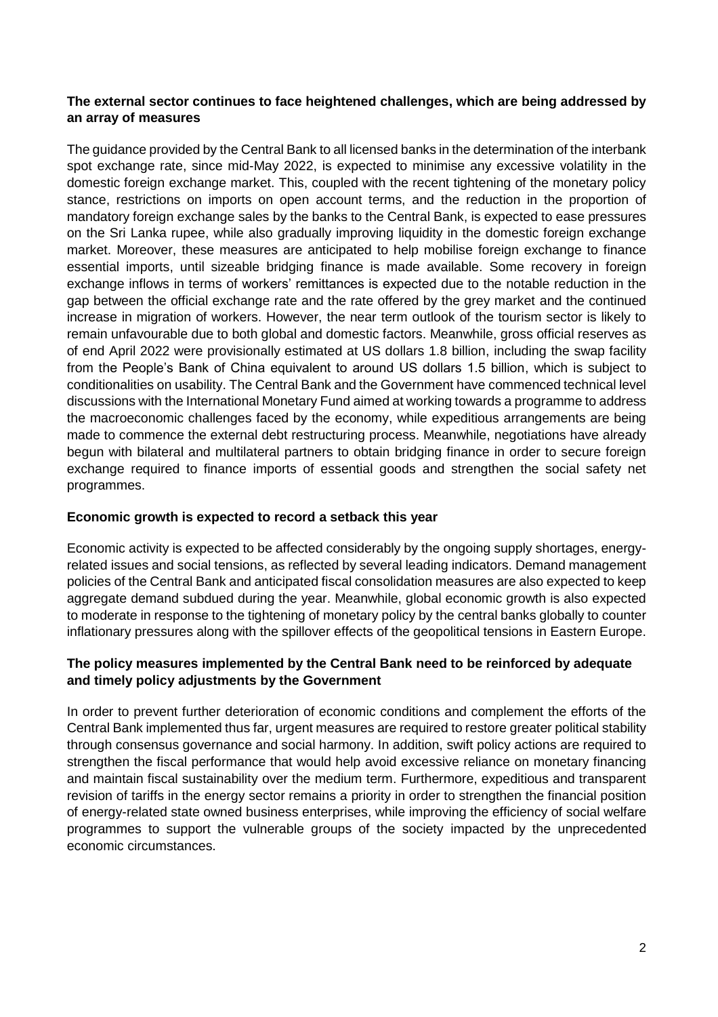## **The external sector continues to face heightened challenges, which are being addressed by an array of measures**

The guidance provided by the Central Bank to all licensed banks in the determination of the interbank spot exchange rate, since mid-May 2022, is expected to minimise any excessive volatility in the domestic foreign exchange market. This, coupled with the recent tightening of the monetary policy stance, restrictions on imports on open account terms, and the reduction in the proportion of mandatory foreign exchange sales by the banks to the Central Bank, is expected to ease pressures on the Sri Lanka rupee, while also gradually improving liquidity in the domestic foreign exchange market. Moreover, these measures are anticipated to help mobilise foreign exchange to finance essential imports, until sizeable bridging finance is made available. Some recovery in foreign exchange inflows in terms of workers' remittances is expected due to the notable reduction in the gap between the official exchange rate and the rate offered by the grey market and the continued increase in migration of workers. However, the near term outlook of the tourism sector is likely to remain unfavourable due to both global and domestic factors. Meanwhile, gross official reserves as of end April 2022 were provisionally estimated at US dollars 1.8 billion, including the swap facility from the People's Bank of China equivalent to around US dollars 1.5 billion, which is subject to conditionalities on usability. The Central Bank and the Government have commenced technical level discussions with the International Monetary Fund aimed at working towards a programme to address the macroeconomic challenges faced by the economy, while expeditious arrangements are being made to commence the external debt restructuring process. Meanwhile, negotiations have already begun with bilateral and multilateral partners to obtain bridging finance in order to secure foreign exchange required to finance imports of essential goods and strengthen the social safety net programmes.

#### **Economic growth is expected to record a setback this year**

Economic activity is expected to be affected considerably by the ongoing supply shortages, energyrelated issues and social tensions, as reflected by several leading indicators. Demand management policies of the Central Bank and anticipated fiscal consolidation measures are also expected to keep aggregate demand subdued during the year. Meanwhile, global economic growth is also expected to moderate in response to the tightening of monetary policy by the central banks globally to counter inflationary pressures along with the spillover effects of the geopolitical tensions in Eastern Europe.

## **The policy measures implemented by the Central Bank need to be reinforced by adequate and timely policy adjustments by the Government**

In order to prevent further deterioration of economic conditions and complement the efforts of the Central Bank implemented thus far, urgent measures are required to restore greater political stability through consensus governance and social harmony. In addition, swift policy actions are required to strengthen the fiscal performance that would help avoid excessive reliance on monetary financing and maintain fiscal sustainability over the medium term. Furthermore, expeditious and transparent revision of tariffs in the energy sector remains a priority in order to strengthen the financial position of energy-related state owned business enterprises, while improving the efficiency of social welfare programmes to support the vulnerable groups of the society impacted by the unprecedented economic circumstances.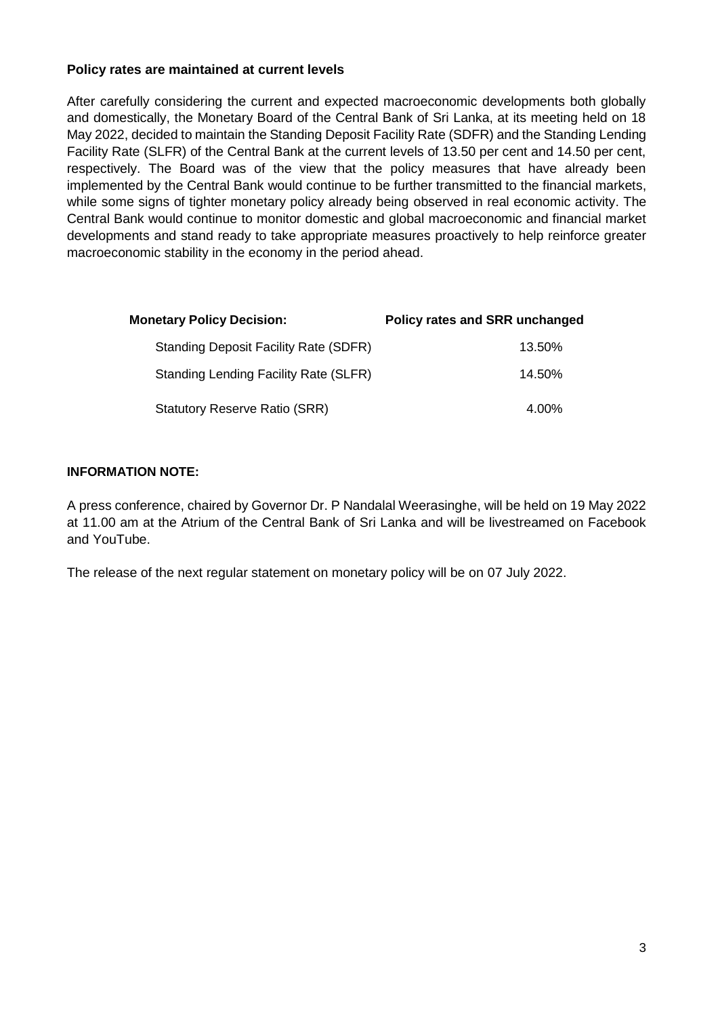#### **Policy rates are maintained at current levels**

After carefully considering the current and expected macroeconomic developments both globally and domestically, the Monetary Board of the Central Bank of Sri Lanka, at its meeting held on 18 May 2022, decided to maintain the Standing Deposit Facility Rate (SDFR) and the Standing Lending Facility Rate (SLFR) of the Central Bank at the current levels of 13.50 per cent and 14.50 per cent, respectively. The Board was of the view that the policy measures that have already been implemented by the Central Bank would continue to be further transmitted to the financial markets, while some signs of tighter monetary policy already being observed in real economic activity. The Central Bank would continue to monitor domestic and global macroeconomic and financial market developments and stand ready to take appropriate measures proactively to help reinforce greater macroeconomic stability in the economy in the period ahead.

| <b>Monetary Policy Decision:</b>             | Policy rates and SRR unchanged |  |  |  |  |
|----------------------------------------------|--------------------------------|--|--|--|--|
| <b>Standing Deposit Facility Rate (SDFR)</b> | 13.50%                         |  |  |  |  |
| <b>Standing Lending Facility Rate (SLFR)</b> | 14.50%                         |  |  |  |  |
| <b>Statutory Reserve Ratio (SRR)</b>         | 4.00%                          |  |  |  |  |

## **INFORMATION NOTE:**

A press conference, chaired by Governor Dr. P Nandalal Weerasinghe, will be held on 19 May 2022 at 11.00 am at the Atrium of the Central Bank of Sri Lanka and will be livestreamed on Facebook and YouTube.

The release of the next regular statement on monetary policy will be on 07 July 2022.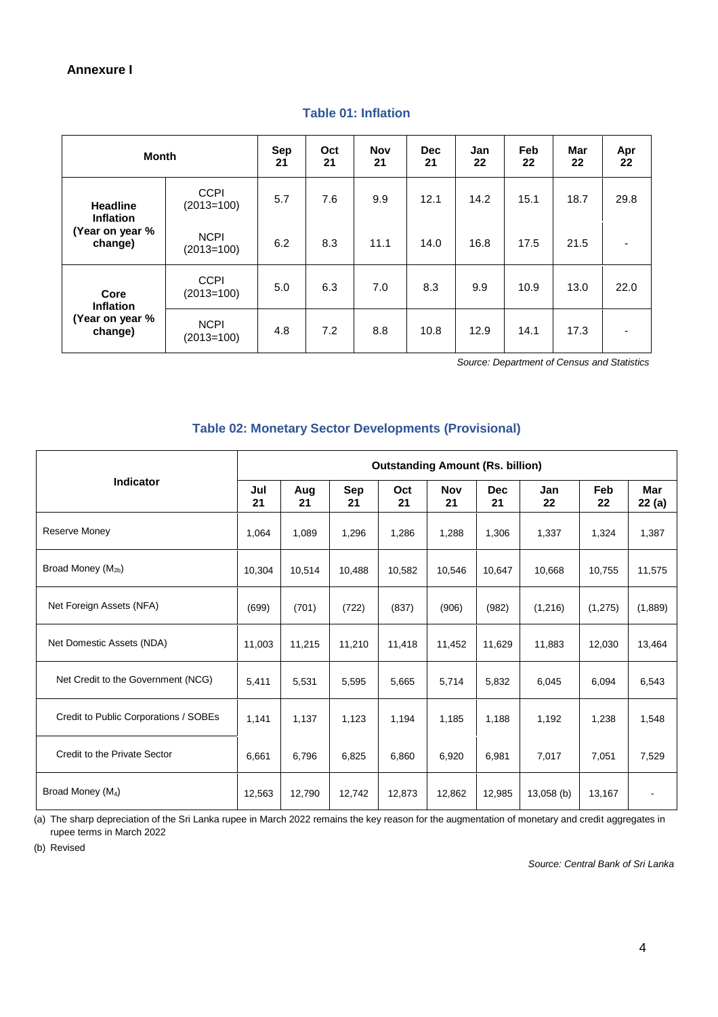#### **Annexure I**

| <b>Month</b>                                                      |                             | <b>Sep</b><br>21 | Oct<br>21 | <b>Nov</b><br>21 | <b>Dec</b><br>21 | Jan<br>22 | Feb<br>22 | Mar<br>22 | Apr<br>22                |
|-------------------------------------------------------------------|-----------------------------|------------------|-----------|------------------|------------------|-----------|-----------|-----------|--------------------------|
| <b>Headline</b><br><b>Inflation</b><br>(Year on year %<br>change) | <b>CCPI</b><br>$(2013=100)$ | 5.7              | 7.6       | 9.9              | 12.1             | 14.2      | 15.1      | 18.7      | 29.8                     |
|                                                                   | <b>NCPI</b><br>$(2013=100)$ | 6.2              | 8.3       | 11.1             | 14.0             | 16.8      | 17.5      | 21.5      | $\overline{\phantom{a}}$ |
| Core<br><b>Inflation</b><br>(Year on year %<br>change)            | <b>CCPI</b><br>$(2013=100)$ | 5.0              | 6.3       | 7.0              | 8.3              | 9.9       | 10.9      | 13.0      | 22.0                     |
|                                                                   | <b>NCPI</b><br>$(2013=100)$ | 4.8              | 7.2       | 8.8              | 10.8             | 12.9      | 14.1      | 17.3      | $\blacksquare$           |

#### **Table 01: Inflation**

 *Source: Department of Census and Statistics*

#### **Table 02: Monetary Sector Developments (Provisional)**

|                                       | <b>Outstanding Amount (Rs. billion)</b> |           |                  |           |                  |                  |              |           |              |  |
|---------------------------------------|-----------------------------------------|-----------|------------------|-----------|------------------|------------------|--------------|-----------|--------------|--|
| <b>Indicator</b>                      | Jul<br>21                               | Aug<br>21 | <b>Sep</b><br>21 | Oct<br>21 | <b>Nov</b><br>21 | <b>Dec</b><br>21 | Jan<br>22    | Feb<br>22 | Mar<br>22(a) |  |
| <b>Reserve Money</b>                  | 1,064                                   | 1,089     | 1,296            | 1,286     | 1,288            | 1,306            | 1,337        | 1,324     | 1,387        |  |
| Broad Money (M <sub>2b</sub> )        | 10,304                                  | 10,514    | 10,488           | 10,582    | 10,546           | 10,647           | 10,668       | 10,755    | 11,575       |  |
| Net Foreign Assets (NFA)              | (699)                                   | (701)     | (722)            | (837)     | (906)            | (982)            | (1, 216)     | (1, 275)  | (1,889)      |  |
| Net Domestic Assets (NDA)             | 11,003                                  | 11,215    | 11,210           | 11,418    | 11,452           | 11,629           | 11,883       | 12,030    | 13,464       |  |
| Net Credit to the Government (NCG)    | 5,411                                   | 5,531     | 5,595            | 5,665     | 5,714            | 5,832            | 6,045        | 6,094     | 6,543        |  |
| Credit to Public Corporations / SOBEs | 1,141                                   | 1,137     | 1,123            | 1,194     | 1,185            | 1,188            | 1,192        | 1,238     | 1,548        |  |
| Credit to the Private Sector          | 6,661                                   | 6,796     | 6,825            | 6,860     | 6,920            | 6,981            | 7,017        | 7,051     | 7,529        |  |
| Broad Money (M <sub>4</sub> )         | 12,563                                  | 12,790    | 12,742           | 12,873    | 12,862           | 12,985           | $13,058$ (b) | 13,167    |              |  |

(a) The sharp depreciation of the Sri Lanka rupee in March 2022 remains the key reason for the augmentation of monetary and credit aggregates in rupee terms in March 2022

(b) Revised

*Source: Central Bank of Sri Lanka*